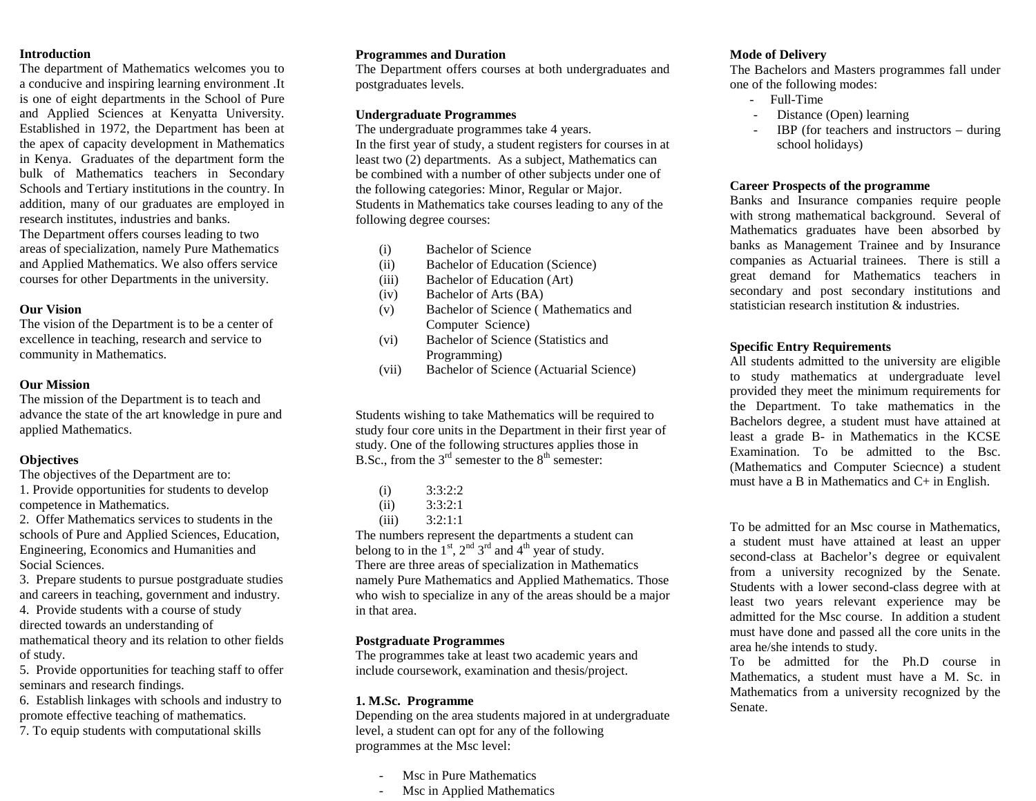### **Introduction**

The department of Mathematics welcomes you to a conducive and inspiring learning environment .It is one of eight departments in the School of Pure and Applied Sciences at Kenyatta University. Established in 1972, the Department has been at the apex of capacity development in Mathematics in Kenya. Graduates of the department form the bulk of Mathematics teachers in Secondary Schools and Tertiary institutions in the country. In addition, many of our graduates are employed in research institutes, industries and banks.

The Department offers courses leading to two areas of specialization, namely Pure Mathematics and Applied Mathematics. We also offers service courses for other Departments in the university.

## **Our Vision**

The vision of the Department is to be a center of excellence in teaching, research and service to community in Mathematics.

## **Our Mission**

The mission of the Department is to teach and advance the state of the art knowledge in pure and applied Mathematics.

# **Objectives**

The objectives of the Department are to:

- 1. Provide opportunities for students to develop competence in Mathematics.
- 2. Offer Mathematics services to students in the schools of Pure and Applied Sciences, Education, Engineering, Economics and Humanities and Social Sciences.

3. Prepare students to pursue postgraduate studies and careers in teaching, government and industry.

4. Provide students with a course of study directed towards an understanding of mathematical theory and its relation to other fields

of study.

5. Provide opportunities for teaching staff to offer seminars and research findings.

6. Establish linkages with schools and industry to promote effective teaching of mathematics.

. 7. To equip students with computational skills

## **Programmes and Duration**

The Department offers courses at both undergraduates and postgraduates levels.

## **Undergraduate Programmes**

The undergraduate programmes take 4 years. In the first year of study, a student registers for courses in at least two (2) departments. As a subject, Mathematics can be combined with a number of other subjects under one of the following categories: Minor, Regular or Major. Students in Mathematics take courses leading to any of the following degree courses:

- (i) Bachelor of Science
- (ii) Bachelor of Education (Science)
- (iii) Bachelor of Education (Art)
- (iv) Bachelor of Arts (BA)
- (v) Bachelor of Science ( Mathematics and Computer Science)
- (vi) Bachelor of Science (Statistics and Programming)
- (vii) Bachelor of Science (Actuarial Science)

Students wishing to take Mathematics will be required to study four core units in the Department in their first year of study. One of the following structures applies those in B.Sc., from the  $3<sup>rd</sup>$  semester to the  $8<sup>th</sup>$  semester:

| (i)   | 3:3:2:2 |
|-------|---------|
| (ii)  | 3:3:2:1 |
| (iii) | 3:2:1:1 |

The numbers represent the departments a student can belong to in the  $1<sup>st</sup>$ ,  $2<sup>nd</sup>$   $3<sup>rd</sup>$  and  $4<sup>th</sup>$  year of study. There are three areas of specialization in Mathematics namely Pure Mathematics and Applied Mathematics. Those who wish to specialize in any of the areas should be a major in that area.

# **Postgraduate Programmes**

The programmes take at least two academic years and include coursework, examination and thesis/project.

## **1. M.Sc. Programme**

Depending on the area students majored in at undergraduate level, a student can opt for any of the following programmes at the Msc level:

- Msc in Pure Mathematics
- Msc in Applied Mathematics

# **Mode of Delivery**

The Bachelors and Masters programmes fall under one of the following modes:

- Full-Time
- Distance (Open) learning
- IBP (for teachers and instructors  $-$  during school holidays)

## **Career Prospects of the programme**

Banks and Insurance companies require people with strong mathematical background. Several of Mathematics graduates have been absorbed by banks as Management Trainee and by Insurance companies as Actuarial trainees. There is still a great demand for Mathematics teachers in secondary and post secondary institutions and statistician research institution & industries.

# **Specific Entry Requirements**

All students admitted to the university are eligible to study mathematics at undergraduate level provided they meet the minimum requirements for the Department. To take mathematics in the Bachelors degree, a student must have attained at least a grade B- in Mathematics in the KCSE Examination. To be admitted to the Bsc. (Mathematics and Computer Sciecnce) a student must have a B in Mathematics and C+ in English.

To be admitted for an Msc course in Mathematics, a student must have attained at least an upper second-class at Bachelor's degree or equivalent from a university recognized by the Senate. Students with a lower second-class degree with at least two years relevant experience may be admitted for the Msc course. In addition a student must have done and passed all the core units in the area he/she intends to study.

To be admitted for the Ph.D course in Mathematics, a student must have a M. Sc. in Mathematics from a university recognized by the Senate.